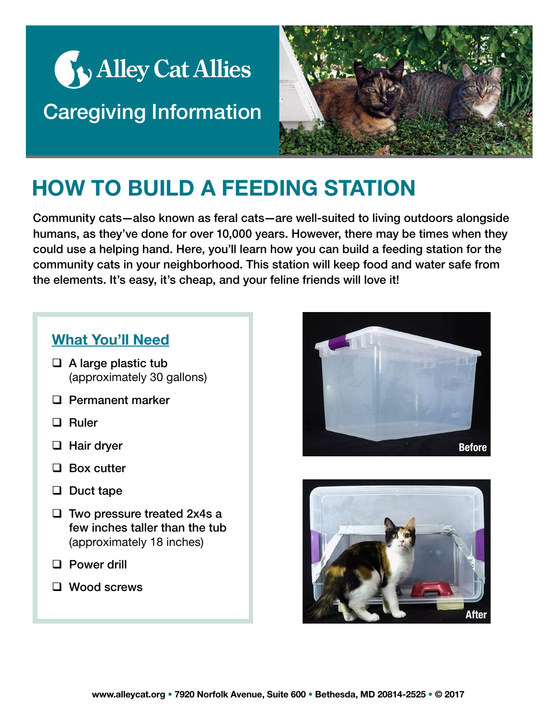



## HOW TO BUILD A FEEDING STATION

Community cats—also known as feral cats—are well-suited to living outdoors alongside humans, as they've done for over 10,000 years. However, there may be times when they could use a helping hand. Here, you'll learn how you can build a feeding station for the community cats in your neighborhood. This station will keep food and water safe from the elements. It's easy, it's cheap, and your feline friends will love it!

## What You'll Need

- $\Box$  A large plastic tub (approximately 30 gallons)
- **Q** Permanent marker
- □ Ruler
- □ Hair dryer
- □ Box cutter
- $\Box$  Duct tape
- $\Box$  Two pressure treated 2x4s a few inches taller than the tub (approximately 18 inches)
- **D** Power drill
- □ Wood screws